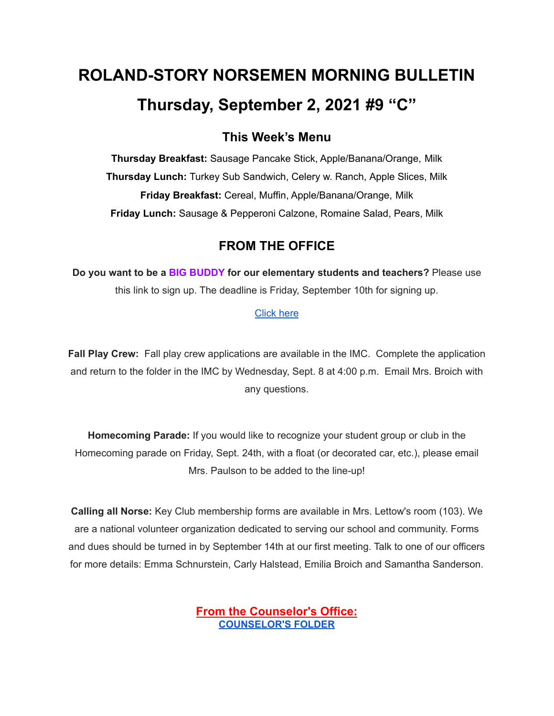# **ROLAND-STORY NORSEMEN MORNING BULLETIN Thursday, September 2, 2021 #9 "C"**

## **This Week's Menu**

**Thursday Breakfast:** Sausage Pancake Stick, Apple/Banana/Orange, Milk **Thursday Lunch:** Turkey Sub Sandwich, Celery w. Ranch, Apple Slices, Milk **Friday Breakfast:** Cereal, Muffin, Apple/Banana/Orange, Milk **Friday Lunch:** Sausage & Pepperoni Calzone, Romaine Salad, Pears, Milk

## **FROM THE OFFICE**

**Do you want to be a BIG BUDDY for our elementary students and teachers?** Please use this link to sign up. The deadline is Friday, September 10th for signing up.

#### [Click](https://docs.google.com/forms/d/e/1FAIpQLSdnBOSS22yKxjrGxKALRfMidQdbVCa4CbkF2FpWLlV-1YgPew/viewform?usp=sf_) here

**Fall Play Crew:** Fall play crew applications are available in the IMC. Complete the application and return to the folder in the IMC by Wednesday, Sept. 8 at 4:00 p.m. Email Mrs. Broich with any questions.

**Homecoming Parade:** If you would like to recognize your student group or club in the Homecoming parade on Friday, Sept. 24th, with a float (or decorated car, etc.), please email Mrs. Paulson to be added to the line-up!

**Calling all Norse:** Key Club membership forms are available in Mrs. Lettow's room (103). We are a national volunteer organization dedicated to serving our school and community. Forms and dues should be turned in by September 14th at our first meeting. Talk to one of our officers for more details: Emma Schnurstein, Carly Halstead, Emilia Broich and Samantha Sanderson.

> **From the Counselor's Office: [COUNSELOR'S](https://docs.google.com/document/d/1vmwczNPbDzXe9vFaG5LJMQ7NYDv-i4oQJHybqA65TUc/edit?usp=sharing) FOLDER**